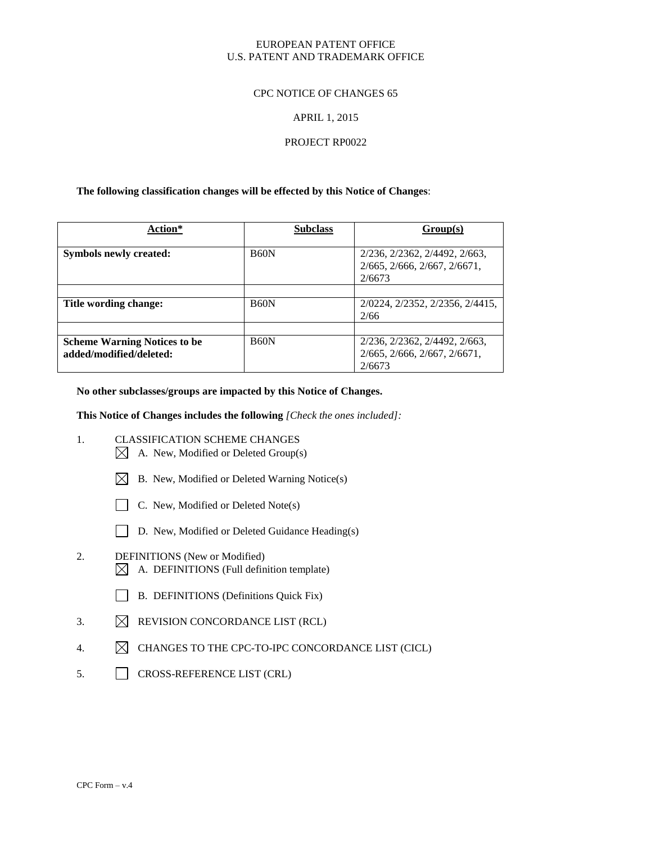#### EUROPEAN PATENT OFFICE U.S. PATENT AND TRADEMARK OFFICE

#### CPC NOTICE OF CHANGES 65

#### APRIL 1, 2015

#### PROJECT RP0022

#### **The following classification changes will be effected by this Notice of Changes**:

| Action*                                                        | <b>Subclass</b> | Group(s)                                                                |
|----------------------------------------------------------------|-----------------|-------------------------------------------------------------------------|
| Symbols newly created:                                         | <b>B60N</b>     | 2/236, 2/2362, 2/4492, 2/663,<br>2/665, 2/666, 2/667, 2/6671,<br>2/6673 |
| Title wording change:                                          | <b>B60N</b>     | 2/0224, 2/2352, 2/2356, 2/4415,<br>2/66                                 |
| <b>Scheme Warning Notices to be</b><br>added/modified/deleted: | <b>B60N</b>     | 2/236, 2/2362, 2/4492, 2/663,<br>2/665, 2/666, 2/667, 2/6671,<br>2/6673 |

#### **No other subclasses/groups are impacted by this Notice of Changes.**

**This Notice of Changes includes the following** *[Check the ones included]:*

- 1. CLASSIFICATION SCHEME CHANGES
	- $\boxtimes$  A. New, Modified or Deleted Group(s)
	- $\boxtimes$  B. New, Modified or Deleted Warning Notice(s)
	- $\Box$  C. New, Modified or Deleted Note(s)
	- D. New, Modified or Deleted Guidance Heading(s)
- 2. DEFINITIONS (New or Modified)  $\boxtimes$  A. DEFINITIONS (Full definition template)
	- B. DEFINITIONS (Definitions Quick Fix)
- 3.  $\boxtimes$  REVISION CONCORDANCE LIST (RCL)
- 4.  $\boxtimes$  CHANGES TO THE CPC-TO-IPC CONCORDANCE LIST (CICL)
- 5. CROSS-REFERENCE LIST (CRL)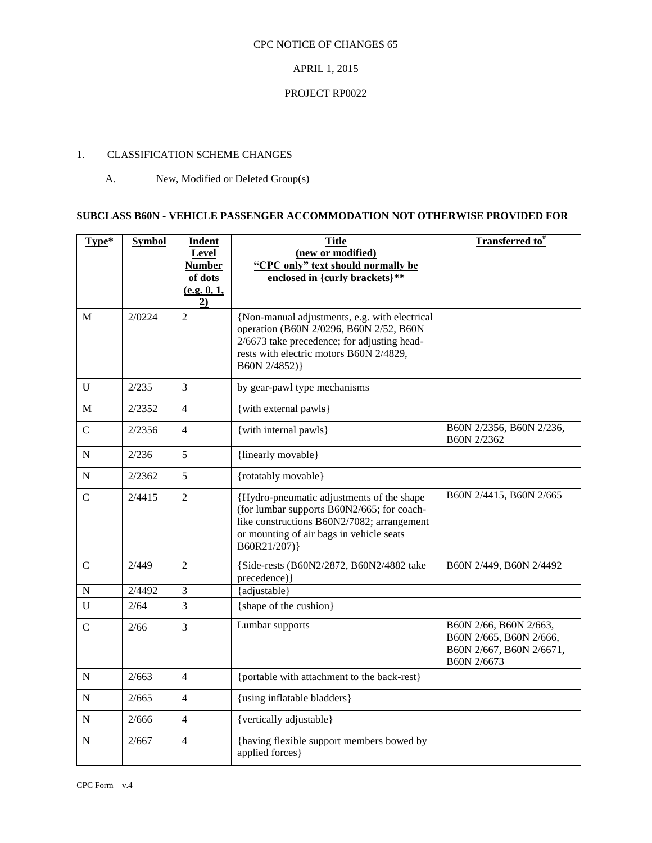### APRIL 1, 2015

## PROJECT RP0022

# 1. CLASSIFICATION SCHEME CHANGES

# A. New, Modified or Deleted Group(s)

# **SUBCLASS B60N - VEHICLE PASSENGER ACCOMMODATION NOT OTHERWISE PROVIDED FOR**

| Type*          | <b>Symbol</b> | <b>Indent</b><br>Level<br><b>Number</b><br>of dots<br>(e.g. 0, 1,<br>2) | <b>Title</b><br>(new or modified)<br>"CPC only" text should normally be<br>enclosed in {curly brackets}**                                                                                            | <b>Transferred to</b> #                                                                      |
|----------------|---------------|-------------------------------------------------------------------------|------------------------------------------------------------------------------------------------------------------------------------------------------------------------------------------------------|----------------------------------------------------------------------------------------------|
| M              | 2/0224        | $\overline{2}$                                                          | {Non-manual adjustments, e.g. with electrical<br>operation (B60N 2/0296, B60N 2/52, B60N<br>2/6673 take precedence; for adjusting head-<br>rests with electric motors B60N 2/4829,<br>B60N 2/4852) } |                                                                                              |
| $\mathbf U$    | 2/235         | 3                                                                       | by gear-pawl type mechanisms                                                                                                                                                                         |                                                                                              |
| M              | 2/2352        | $\overline{4}$                                                          | {with external pawls}                                                                                                                                                                                |                                                                                              |
| $\mathbf C$    | 2/2356        | $\overline{4}$                                                          | {with internal pawls}                                                                                                                                                                                | B60N 2/2356, B60N 2/236,<br>B60N 2/2362                                                      |
| ${\bf N}$      | 2/236         | 5                                                                       | {linearly movable}                                                                                                                                                                                   |                                                                                              |
| ${\bf N}$      | 2/2362        | 5                                                                       | {rotatably movable}                                                                                                                                                                                  |                                                                                              |
| $\overline{C}$ | 2/4415        | $\overline{2}$                                                          | {Hydro-pneumatic adjustments of the shape<br>(for lumbar supports B60N2/665; for coach-<br>like constructions B60N2/7082; arrangement<br>or mounting of air bags in vehicle seats<br>B60R21/207)}    | B60N 2/4415, B60N 2/665                                                                      |
| $\overline{C}$ | 2/449         | $\overline{2}$                                                          | {Side-rests (B60N2/2872, B60N2/4882 take<br>precedence) }                                                                                                                                            | B60N 2/449, B60N 2/4492                                                                      |
| ${\bf N}$      | 2/4492        | $\overline{3}$                                                          | {adjustable}                                                                                                                                                                                         |                                                                                              |
| $\mathbf U$    | 2/64          | 3                                                                       | {shape of the cushion}                                                                                                                                                                               |                                                                                              |
| $\mathbf C$    | 2/66          | 3                                                                       | Lumbar supports                                                                                                                                                                                      | B60N 2/66, B60N 2/663,<br>B60N 2/665, B60N 2/666,<br>B60N 2/667, B60N 2/6671,<br>B60N 2/6673 |
| N              | 2/663         | $\overline{4}$                                                          | {portable with attachment to the back-rest}                                                                                                                                                          |                                                                                              |
| $\mathbf N$    | 2/665         | $\overline{4}$                                                          | {using inflatable bladders}                                                                                                                                                                          |                                                                                              |
| N              | 2/666         | $\overline{4}$                                                          | {vertically adjustable}                                                                                                                                                                              |                                                                                              |
| N              | 2/667         | $\overline{4}$                                                          | {having flexible support members bowed by<br>applied forces}                                                                                                                                         |                                                                                              |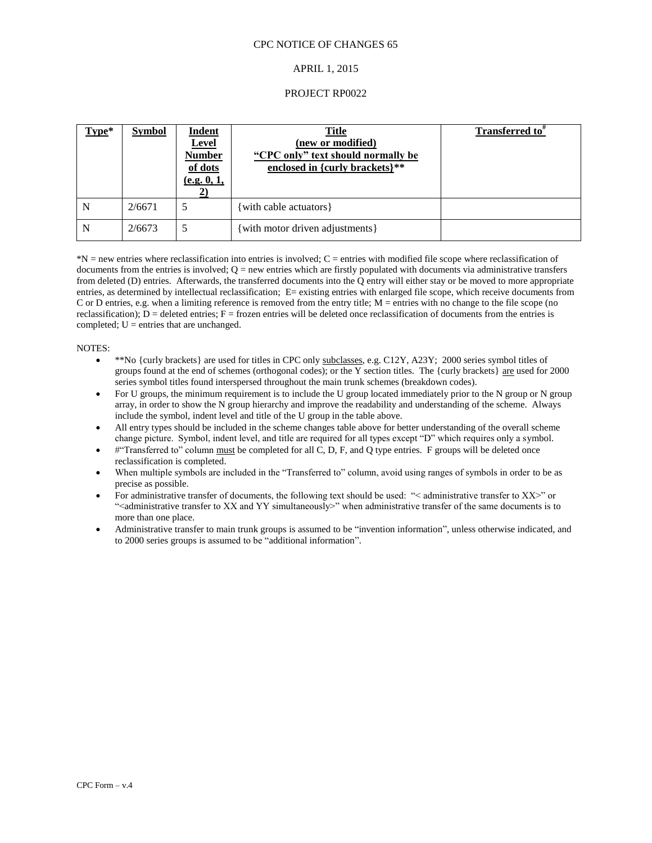#### APRIL 1, 2015

#### PROJECT RP0022

| Type* | <b>Symbol</b> | <b>Indent</b><br><b>Level</b><br><b>Number</b><br>of dots<br>(e.g. 0, 1, | <b>Title</b><br>(new or modified)<br>"CPC only" text should normally be<br>enclosed in {curly brackets}** | Transferred to <sup>*</sup> |
|-------|---------------|--------------------------------------------------------------------------|-----------------------------------------------------------------------------------------------------------|-----------------------------|
| N     | 2/6671        |                                                                          | with cable actuators {                                                                                    |                             |
| N     | 2/6673        |                                                                          | with motor driven adjustments }                                                                           |                             |

\*N = new entries where reclassification into entries is involved; C = entries with modified file scope where reclassification of documents from the entries is involved;  $Q =$  new entries which are firstly populated with documents via administrative transfers from deleted (D) entries. Afterwards, the transferred documents into the Q entry will either stay or be moved to more appropriate entries, as determined by intellectual reclassification; E= existing entries with enlarged file scope, which receive documents from C or D entries, e.g. when a limiting reference is removed from the entry title; M = entries with no change to the file scope (no reclassification);  $D =$  deleted entries;  $F =$  frozen entries will be deleted once reclassification of documents from the entries is completed;  $U =$  entries that are unchanged.

#### NOTES:

- $\bullet$  \*\*No {curly brackets} are used for titles in CPC only subclasses, e.g. C12Y, A23Y; 2000 series symbol titles of groups found at the end of schemes (orthogonal codes); or the Y section titles. The {curly brackets} are used for 2000 series symbol titles found interspersed throughout the main trunk schemes (breakdown codes).
- For U groups, the minimum requirement is to include the U group located immediately prior to the N group or N group array, in order to show the N group hierarchy and improve the readability and understanding of the scheme. Always include the symbol, indent level and title of the U group in the table above.
- All entry types should be included in the scheme changes table above for better understanding of the overall scheme change picture. Symbol, indent level, and title are required for all types except "D" which requires only a symbol.
- #"Transferred to" column must be completed for all C, D, F, and Q type entries. F groups will be deleted once reclassification is completed.
- When multiple symbols are included in the "Transferred to" column, avoid using ranges of symbols in order to be as precise as possible.
- For administrative transfer of documents, the following text should be used: "< administrative transfer to XX>" or "<administrative transfer to XX and YY simultaneously>" when administrative transfer of the same documents is to more than one place.
- Administrative transfer to main trunk groups is assumed to be "invention information", unless otherwise indicated, and to 2000 series groups is assumed to be "additional information".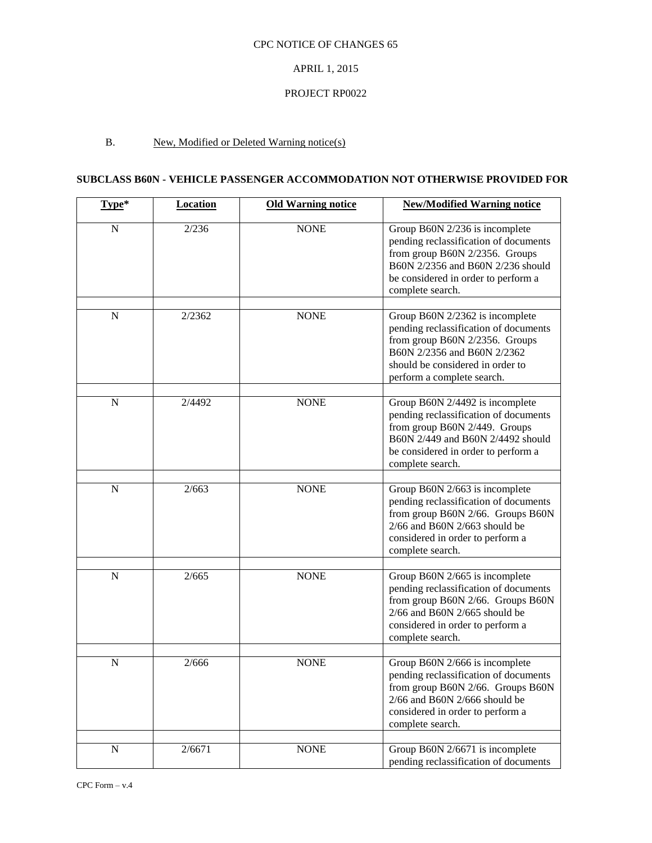# APRIL 1, 2015

### PROJECT RP0022

# B. New, Modified or Deleted Warning notice(s)

# **SUBCLASS B60N - VEHICLE PASSENGER ACCOMMODATION NOT OTHERWISE PROVIDED FOR**

| Type*       | <b>Location</b> | <b>Old Warning notice</b> | <b>New/Modified Warning notice</b>                                                                                                                                                                          |
|-------------|-----------------|---------------------------|-------------------------------------------------------------------------------------------------------------------------------------------------------------------------------------------------------------|
| $\mathbf N$ | 2/236           | <b>NONE</b>               | Group B60N 2/236 is incomplete<br>pending reclassification of documents<br>from group B60N 2/2356. Groups<br>B60N 2/2356 and B60N 2/236 should<br>be considered in order to perform a<br>complete search.   |
| ${\bf N}$   | 2/2362          | <b>NONE</b>               | Group B60N 2/2362 is incomplete<br>pending reclassification of documents<br>from group B60N 2/2356. Groups<br>B60N 2/2356 and B60N 2/2362<br>should be considered in order to<br>perform a complete search. |
| ${\bf N}$   | 2/4492          | <b>NONE</b>               | Group B60N 2/4492 is incomplete<br>pending reclassification of documents<br>from group B60N 2/449. Groups<br>B60N 2/449 and B60N 2/4492 should<br>be considered in order to perform a<br>complete search.   |
| $\mathbf N$ | 2/663           | <b>NONE</b>               | Group B60N 2/663 is incomplete<br>pending reclassification of documents<br>from group B60N 2/66. Groups B60N<br>$2/66$ and B60N $2/663$ should be<br>considered in order to perform a<br>complete search.   |
| ${\bf N}$   | 2/665           | <b>NONE</b>               | Group B60N 2/665 is incomplete<br>pending reclassification of documents<br>from group B60N 2/66. Groups B60N<br>$2/66$ and B60N $2/665$ should be<br>considered in order to perform a<br>complete search.   |
| ${\bf N}$   | 2/666           | <b>NONE</b>               | Group B60N 2/666 is incomplete<br>pending reclassification of documents<br>from group B60N 2/66. Groups B60N<br>2/66 and B60N 2/666 should be<br>considered in order to perform a<br>complete search.       |
| ${\bf N}$   | 2/6671          | <b>NONE</b>               | Group B60N 2/6671 is incomplete<br>pending reclassification of documents                                                                                                                                    |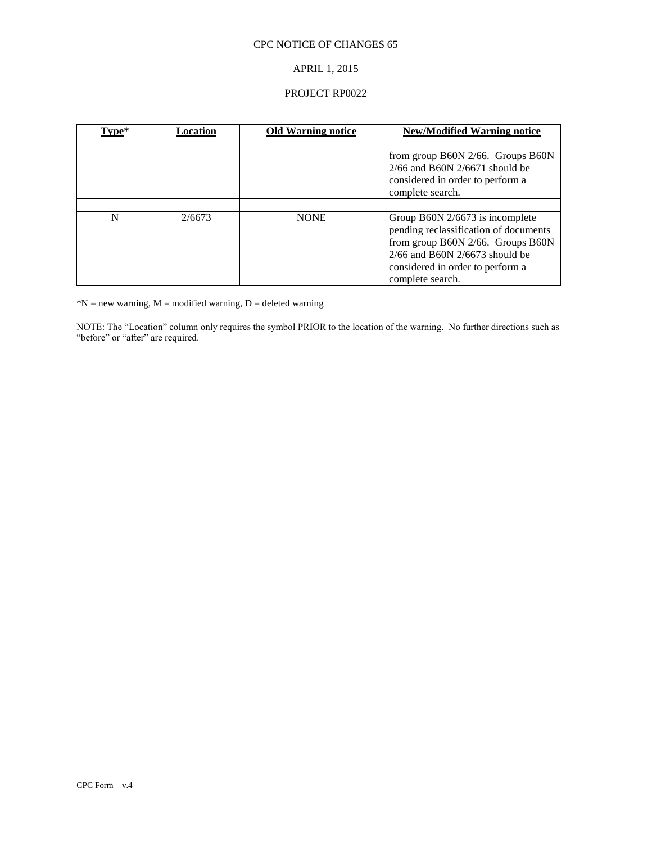# APRIL 1, 2015

## PROJECT RP0022

| Type* | Location | <b>Old Warning notice</b> | New/Modified Warning notice                                                                                                                                                                                   |
|-------|----------|---------------------------|---------------------------------------------------------------------------------------------------------------------------------------------------------------------------------------------------------------|
|       |          |                           | from group B60N $2/66$ . Groups B60N<br>$2/66$ and B60N $2/6671$ should be<br>considered in order to perform a<br>complete search.                                                                            |
|       |          |                           |                                                                                                                                                                                                               |
| N     | 2/6673   | <b>NONE</b>               | Group B60N $2/6673$ is incomplete<br>pending reclassification of documents<br>from group B60N 2/66. Groups B60N<br>$2/66$ and B60N $2/6673$ should be<br>considered in order to perform a<br>complete search. |

 $N = new warning, M = modified warning, D = deleted warning$ 

NOTE: The "Location" column only requires the symbol PRIOR to the location of the warning. No further directions such as "before" or "after" are required.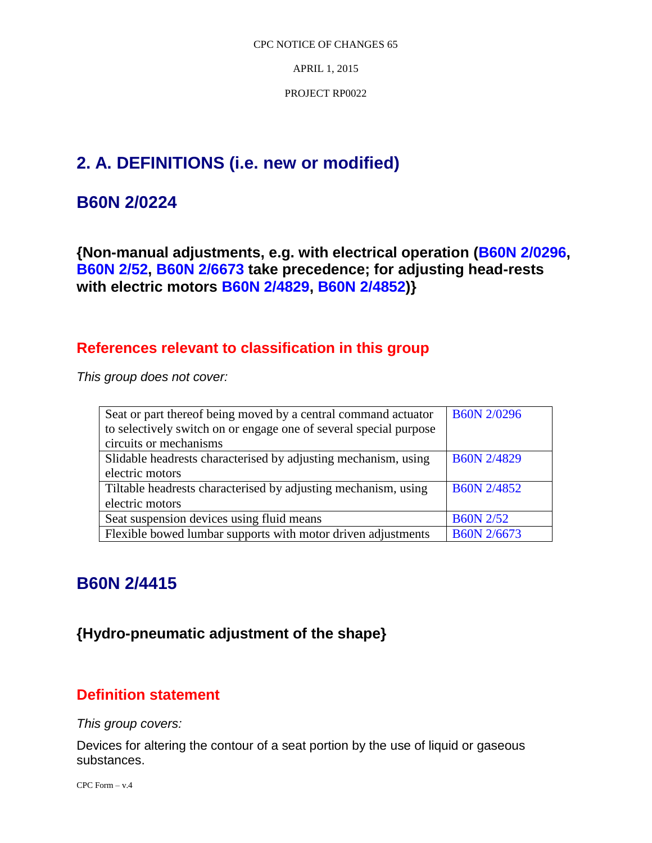APRIL 1, 2015

PROJECT RP0022

# **2. A. DEFINITIONS (i.e. new or modified)**

# **B60N 2/0224**

**{Non-manual adjustments, e.g. with electrical operation (B60N 2/0296, B60N 2/52, B60N 2/6673 take precedence; for adjusting head-rests with electric motors B60N 2/4829, B60N 2/4852)}**

# **References relevant to classification in this group**

*This group does not cover:* 

| Seat or part thereof being moved by a central command actuator    | <b>B60N 2/0296</b> |
|-------------------------------------------------------------------|--------------------|
| to selectively switch on or engage one of several special purpose |                    |
| circuits or mechanisms                                            |                    |
| Slidable headrests characterised by adjusting mechanism, using    | <b>B60N 2/4829</b> |
| electric motors                                                   |                    |
| Tiltable headrests characterised by adjusting mechanism, using    | <b>B60N 2/4852</b> |
| electric motors                                                   |                    |
| Seat suspension devices using fluid means                         | <b>B60N 2/52</b>   |
| Flexible bowed lumbar supports with motor driven adjustments      | B60N 2/6673        |

# **B60N 2/4415**

# **{Hydro-pneumatic adjustment of the shape}**

# **Definition statement**

*This group covers:*

Devices for altering the contour of a seat portion by the use of liquid or gaseous substances.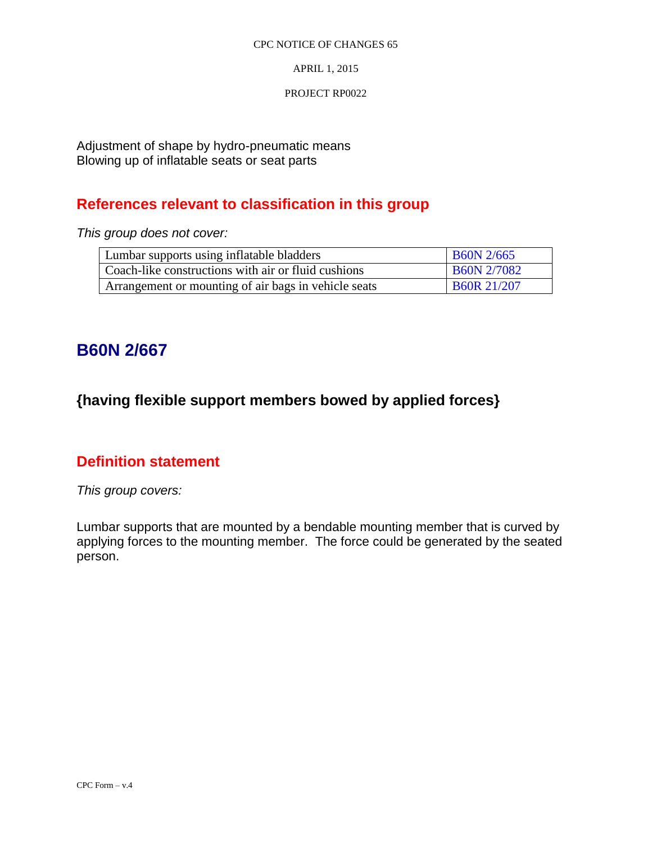APRIL 1, 2015

## PROJECT RP0022

Adjustment of shape by hydro-pneumatic means Blowing up of inflatable seats or seat parts

# **References relevant to classification in this group**

*This group does not cover:* 

| Lumbar supports using inflatable bladders            | <b>B60N</b> 2/665  |
|------------------------------------------------------|--------------------|
| Coach-like constructions with air or fluid cushions  | <b>B60N 2/7082</b> |
| Arrangement or mounting of air bags in vehicle seats | <b>B60R 21/207</b> |

# **B60N 2/667**

# **{having flexible support members bowed by applied forces}**

# **Definition statement**

*This group covers:*

Lumbar supports that are mounted by a bendable mounting member that is curved by applying forces to the mounting member. The force could be generated by the seated person.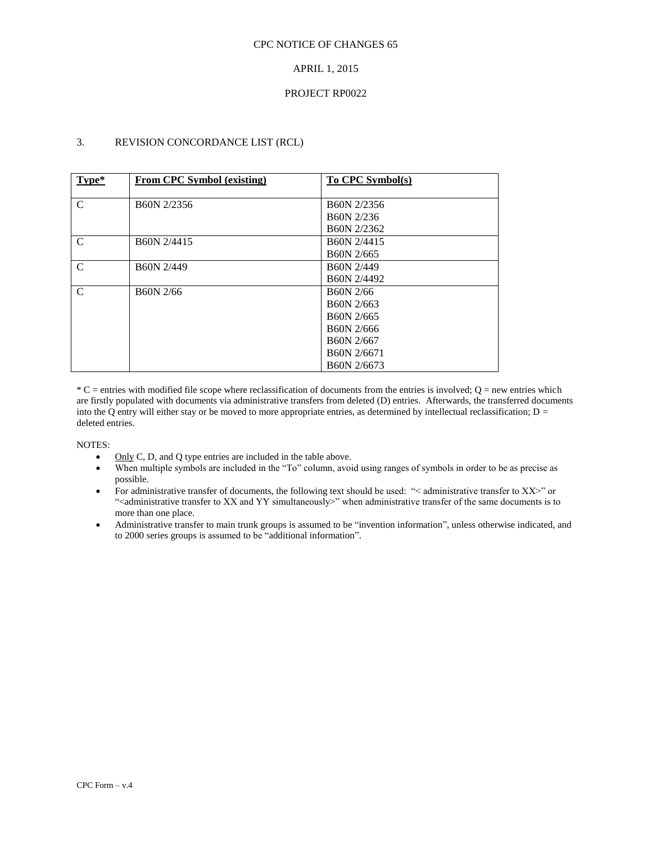### APRIL 1, 2015

#### PROJECT RP0022

## 3. REVISION CONCORDANCE LIST (RCL)

| Type*         | From CPC Symbol (existing) | To CPC Symbol(s)        |
|---------------|----------------------------|-------------------------|
| $\mathcal{C}$ | B60N 2/2356                | B60N 2/2356             |
|               |                            | B <sub>60</sub> N 2/236 |
|               |                            | B60N 2/2362             |
| $\mathcal{C}$ | B60N 2/4415                | B60N 2/4415             |
|               |                            | B60N 2/665              |
| $\mathcal{C}$ | B60N 2/449                 | <b>B60N 2/449</b>       |
|               |                            | B60N 2/4492             |
| $\mathcal{C}$ | B60N 2/66                  | B <sub>60</sub> N 2/66  |
|               |                            | B <sub>60</sub> N 2/663 |
|               |                            | B <sub>60</sub> N 2/665 |
|               |                            | B60N 2/666              |
|               |                            | B <sub>60</sub> N 2/667 |
|               |                            | B60N 2/6671             |
|               |                            | B60N 2/6673             |

 $*C$  = entries with modified file scope where reclassification of documents from the entries is involved;  $Q$  = new entries which are firstly populated with documents via administrative transfers from deleted (D) entries. Afterwards, the transferred documents into the Q entry will either stay or be moved to more appropriate entries, as determined by intellectual reclassification;  $D =$ deleted entries.

NOTES:

- $\bullet$  Only C, D, and Q type entries are included in the table above.
- When multiple symbols are included in the "To" column, avoid using ranges of symbols in order to be as precise as possible.
- For administrative transfer of documents, the following text should be used: "< administrative transfer to XX>" or "<administrative transfer to XX and YY simultaneously>" when administrative transfer of the same documents is to more than one place.
- Administrative transfer to main trunk groups is assumed to be "invention information", unless otherwise indicated, and to 2000 series groups is assumed to be "additional information".